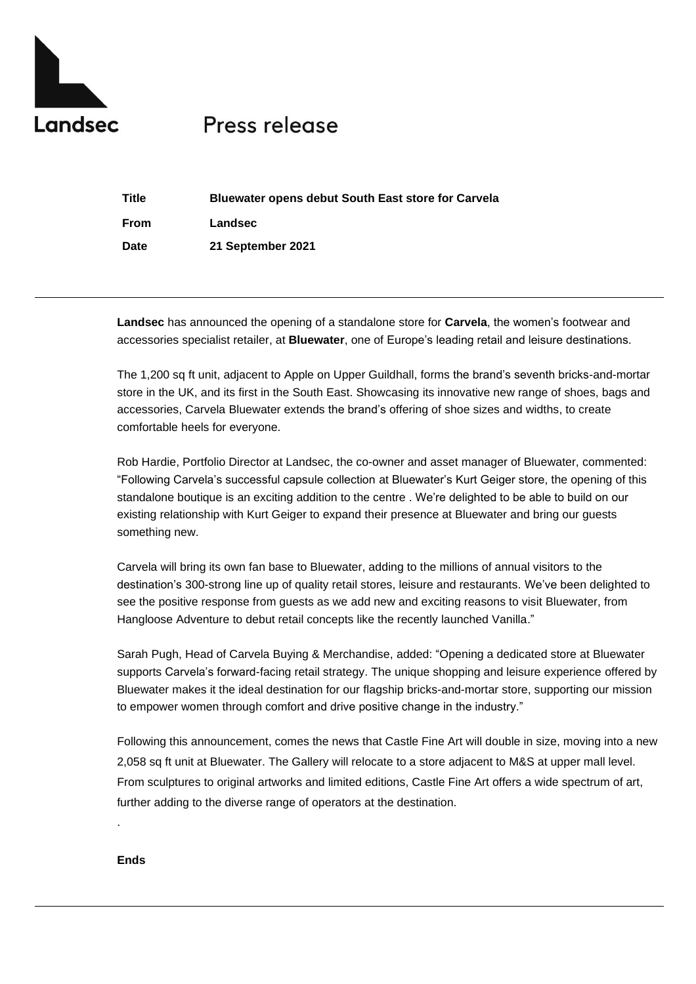

# Press release

| <b>Title</b> | <b>Bluewater opens debut South East store for Carvela</b> |
|--------------|-----------------------------------------------------------|
| From         | Landsec                                                   |
| Date         | 21 September 2021                                         |

**Landsec** has announced the opening of a standalone store for **Carvela**, the women's footwear and accessories specialist retailer, at **Bluewater**, one of Europe's leading retail and leisure destinations.

The 1,200 sq ft unit, adjacent to Apple on Upper Guildhall, forms the brand's seventh bricks-and-mortar store in the UK, and its first in the South East. Showcasing its innovative new range of shoes, bags and accessories, Carvela Bluewater extends the brand's offering of shoe sizes and widths, to create comfortable heels for everyone.

Rob Hardie, Portfolio Director at Landsec, the co-owner and asset manager of Bluewater, commented: "Following Carvela's successful capsule collection at Bluewater's Kurt Geiger store, the opening of this standalone boutique is an exciting addition to the centre . We're delighted to be able to build on our existing relationship with Kurt Geiger to expand their presence at Bluewater and bring our guests something new.

Carvela will bring its own fan base to Bluewater, adding to the millions of annual visitors to the destination's 300-strong line up of quality retail stores, leisure and restaurants. We've been delighted to see the positive response from guests as we add new and exciting reasons to visit Bluewater, from Hangloose Adventure to debut retail concepts like the recently launched Vanilla."

Sarah Pugh, Head of Carvela Buying & Merchandise, added: "Opening a dedicated store at Bluewater supports Carvela's forward-facing retail strategy. The unique shopping and leisure experience offered by Bluewater makes it the ideal destination for our flagship bricks-and-mortar store, supporting our mission to empower women through comfort and drive positive change in the industry."

Following this announcement, comes the news that Castle Fine Art will double in size, moving into a new 2,058 sq ft unit at Bluewater. The Gallery will relocate to a store adjacent to M&S at upper mall level. From sculptures to original artworks and limited editions, Castle Fine Art offers a wide spectrum of art, further adding to the diverse range of operators at the destination.

## **Ends**

.